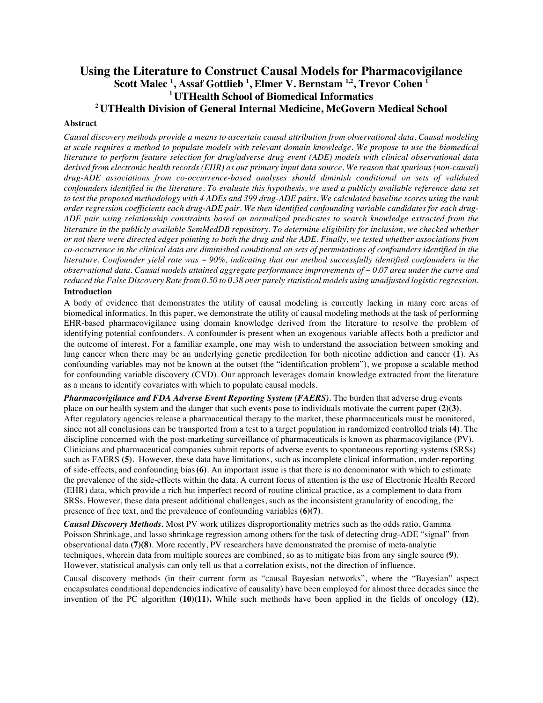# **Using the Literature to Construct Causal Models for Pharmacovigilance Scott Malec <sup>1</sup> , Assaf Gottlieb <sup>1</sup> , Elmer V. Bernstam 1,2, Trevor Cohen 1 1 UTHealth School of Biomedical Informatics 2 UTHealth Division of General Internal Medicine, McGovern Medical School**

#### **Abstract**

*Causal discovery methods provide a means to ascertain causal attribution from observational data. Causal modeling at scale requires a method to populate models with relevant domain knowledge. We propose to use the biomedical literature to perform feature selection for drug/adverse drug event (ADE) models with clinical observational data derived from electronic health records (EHR) as our primary input data source. We reason that spurious (non-causal) drug-ADE associations from co-occurrence-based analyses should diminish conditional on sets of validated confounders identified in the literature. To evaluate this hypothesis, we used a publicly available reference data set to test the proposed methodology with 4 ADEs and 399 drug-ADE pairs. We calculated baseline scores using the rank order regression coefficients each drug-ADE pair. We then identified confounding variable candidates for each drug-ADE pair using relationship constraints based on normalized predicates to search knowledge extracted from the literature in the publicly available SemMedDB repository. To determine eligibility for inclusion, we checked whether or not there were directed edges pointing to both the drug and the ADE. Finally, we tested whether associations from co-occurrence in the clinical data are diminished conditional on sets of permutations of confounders identified in the literature. Confounder yield rate was ~ 90%, indicating that our method successfully identified confounders in the observational data. Causal models attained aggregate performance improvements of ~ 0.07 area under the curve and reduced the False Discovery Rate from 0.50 to 0.38 over purely statistical models using unadjusted logistic regression.*

## **Introduction**

A body of evidence that demonstrates the utility of causal modeling is currently lacking in many core areas of biomedical informatics. In this paper, we demonstrate the utility of causal modeling methods at the task of performing EHR-based pharmacovigilance using domain knowledge derived from the literature to resolve the problem of identifying potential confounders. A confounder is present when an exogenous variable affects both a predictor and the outcome of interest. For a familiar example, one may wish to understand the association between smoking and lung cancer when there may be an underlying genetic predilection for both nicotine addiction and cancer **(1**). As confounding variables may not be known at the outset (the "identification problem"), we propose a scalable method for confounding variable discovery (CVD). Our approach leverages domain knowledge extracted from the literature as a means to identify covariates with which to populate causal models.

*Pharmacovigilance and FDA Adverse Event Reporting System (FAERS).* The burden that adverse drug events place on our health system and the danger that such events pose to individuals motivate the current paper **(2)(3)**. After regulatory agencies release a pharmaceutical therapy to the market, these pharmaceuticals must be monitored, since not all conclusions can be transported from a test to a target population in randomized controlled trials **(4)**. The discipline concerned with the post-marketing surveillance of pharmaceuticals is known as pharmacovigilance (PV). Clinicians and pharmaceutical companies submit reports of adverse events to spontaneous reporting systems (SRSs) such as FAERS **(5)**. However, these data have limitations, such as incomplete clinical information, under-reporting of side-effects, and confounding bias**(6)**. An important issue is that there is no denominator with which to estimate the prevalence of the side-effects within the data. A current focus of attention is the use of Electronic Health Record (EHR) data, which provide a rich but imperfect record of routine clinical practice, as a complement to data from SRSs. However, these data present additional challenges, such as the inconsistent granularity of encoding, the presence of free text, and the prevalence of confounding variables **(6)(7)**.

*Causal Discovery Methods.* Most PV work utilizes disproportionality metrics such as the odds ratio, Gamma Poisson Shrinkage, and lasso shrinkage regression among others for the task of detecting drug-ADE "signal" from observational data **(7)(8)**. More recently, PV researchers have demonstrated the promise of meta-analytic techniques, wherein data from multiple sources are combined, so as to mitigate bias from any single source **(9)**. However, statistical analysis can only tell us that a correlation exists, not the direction of influence.

Causal discovery methods (in their current form as "causal Bayesian networks", where the "Bayesian" aspect encapsulates conditional dependencies indicative of causality) have been employed for almost three decades since the invention of the PC algorithm **(10)(11).** While such methods have been applied in the fields of oncology **(12)**,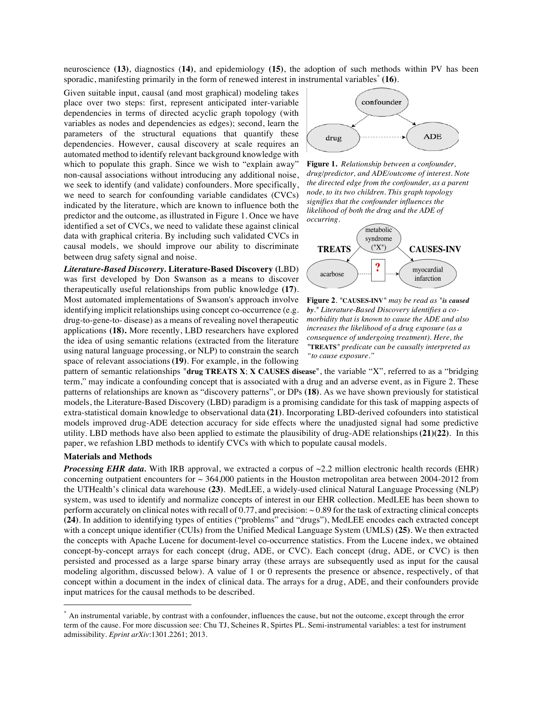neuroscience **(13)**, diagnostics (**14)**, and epidemiology **(15)**, the adoption of such methods within PV has been sporadic, manifesting primarily in the form of renewed interest in instrumental variables\* **(16)**.

Given suitable input, causal (and most graphical) modeling takes place over two steps: first, represent anticipated inter-variable dependencies in terms of directed acyclic graph topology (with variables as nodes and dependencies as edges); second, learn the parameters of the structural equations that quantify these dependencies. However, causal discovery at scale requires an automated method to identify relevant background knowledge with which to populate this graph. Since we wish to "explain away" non-causal associations without introducing any additional noise, we seek to identify (and validate) confounders. More specifically, we need to search for confounding variable candidates (CVCs) indicated by the literature, which are known to influence both the predictor and the outcome, as illustrated in Figure 1. Once we have identified a set of CVCs, we need to validate these against clinical data with graphical criteria. By including such validated CVCs in causal models, we should improve our ability to discriminate between drug safety signal and noise.

*Literature-Based Discovery.* **Literature-Based Discovery (**LBD) was first developed by Don Swanson as a means to discover therapeutically useful relationships from public knowledge **(17)**. Most automated implementations of Swanson's approach involve identifying implicit relationships using concept co-occurrence (e.g. drug-to-gene-to- disease) as a means of revealing novel therapeutic applications **(18).** More recently, LBD researchers have explored the idea of using semantic relations (extracted from the literature using natural language processing, or NLP) to constrain the search space of relevant associations**(19)**. For example, in the following



**Figure 1.** *Relationship between a confounder, drug/predictor, and ADE/outcome of interest. Note the directed edge from the confounder, as a parent node, to its two children. This graph topology signifies that the confounder influences the likelihood of both the drug and the ADE of occurring.*



**Figure 2***. "***CAUSES-INV***" may be read as "is caused by." Literature-Based Discovery identifies a comorbidity that is known to cause the ADE and also increases the likelihood of a drug exposure (as a consequence of undergoing treatment). Here, the "***TREATS***" predicate can be causally interpreted as "to cause exposure."*

pattern of semantic relationships "**drug TREATS X**; **X CAUSES disease**", the variable "X", referred to as a "bridging term," may indicate a confounding concept that is associated with a drug and an adverse event, as in Figure 2. These patterns of relationships are known as "discovery patterns", or DPs **(18)**. As we have shown previously for statistical models, the Literature-Based Discovery (LBD) paradigm is a promising candidate for this task of mapping aspects of extra-statistical domain knowledge to observational data **(21)**. Incorporating LBD-derived cofounders into statistical models improved drug-ADE detection accuracy for side effects where the unadjusted signal had some predictive utility. LBD methods have also been applied to estimate the plausibility of drug-ADE relationships**(21)(22)**. In this paper, we refashion LBD methods to identify CVCs with which to populate causal models.

#### **Materials and Methods**

*Processing EHR data.* With IRB approval, we extracted a corpus of  $\sim$ 2.2 million electronic health records (EHR) concerning outpatient encounters for  $\sim$  364,000 patients in the Houston metropolitan area between 2004-2012 from the UTHealth's clinical data warehouse **(23)**. MedLEE, a widely-used clinical Natural Language Processing (NLP) system, was used to identify and normalize concepts of interest in our EHR collection. MedLEE has been shown to perform accurately on clinical notes with recall of 0.77, and precision:  $\sim 0.89$  for the task of extracting clinical concepts **(24)**. In addition to identifying types of entities ("problems" and "drugs"), MedLEE encodes each extracted concept with a concept unique identifier (CUIs) from the Unified Medical Language System (UMLS) **(25)**. We then extracted the concepts with Apache Lucene for document-level co-occurrence statistics. From the Lucene index, we obtained concept-by-concept arrays for each concept (drug, ADE, or CVC). Each concept (drug, ADE, or CVC) is then persisted and processed as a large sparse binary array (these arrays are subsequently used as input for the causal modeling algorithm, discussed below). A value of 1 or 0 represents the presence or absence, respectively, of that concept within a document in the index of clinical data. The arrays for a drug, ADE, and their confounders provide input matrices for the causal methods to be described.

 <sup>\*</sup> An instrumental variable, by contrast with a confounder, influences the cause, but not the outcome, except through the error term of the cause. For more discussion see: Chu TJ, Scheines R, Spirtes PL. Semi-instrumental variables: a test for instrument admissibility. *Eprint arXiv*:1301.2261; 2013.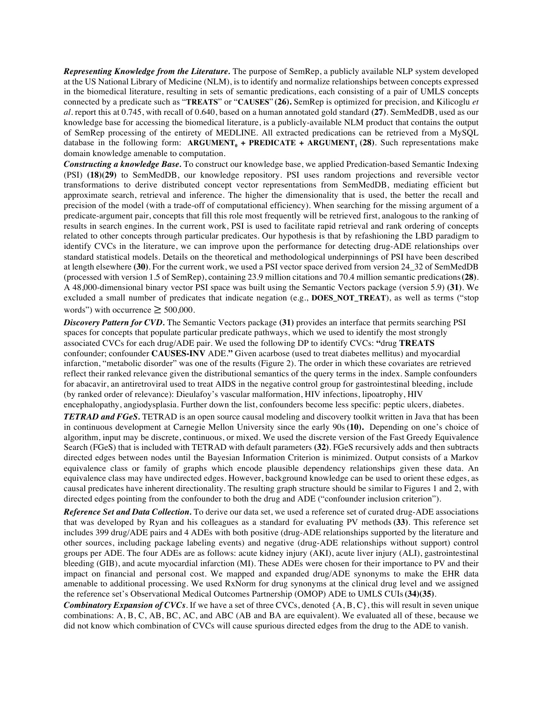*Representing Knowledge from the Literature.* The purpose of SemRep, a publicly available NLP system developed at the US National Library of Medicine (NLM), is to identify and normalize relationships between concepts expressed in the biomedical literature, resulting in sets of semantic predications, each consisting of a pair of UMLS concepts connected by a predicate such as "**TREATS**" or "**CAUSES**" **(26).** SemRep is optimized for precision, and Kilicoglu *et al.* report this at 0.745, with recall of 0.640, based on a human annotated gold standard **(27)**. SemMedDB, used as our knowledge base for accessing the biomedical literature, is a publicly-available NLM product that contains the output of SemRep processing of the entirety of MEDLINE. All extracted predications can be retrieved from a MySQL database in the following form:  $\text{ARGUMENT}_0$  +  $\text{PREDICATE}$  +  $\text{ARGUMENT}_1$  (28). Such representations make domain knowledge amenable to computation. <sup>1</sup>

*Constructing a knowledge Base.* To construct our knowledge base, we applied Predication-based Semantic Indexing (PSI) **(18)(29)** to SemMedDB, our knowledge repository. PSI uses random projections and reversible vector transformations to derive distributed concept vector representations from SemMedDB, mediating efficient but approximate search, retrieval and inference. The higher the dimensionality that is used, the better the recall and precision of the model (with a trade-off of computational efficiency). When searching for the missing argument of a predicate-argument pair, concepts that fill this role most frequently will be retrieved first, analogous to the ranking of results in search engines. In the current work, PSI is used to facilitate rapid retrieval and rank ordering of concepts related to other concepts through particular predicates. Our hypothesis is that by refashioning the LBD paradigm to identify CVCs in the literature, we can improve upon the performance for detecting drug-ADE relationships over standard statistical models. Details on the theoretical and methodological underpinnings of PSI have been described at length elsewhere **(30)**. For the current work, we used a PSI vector space derived from version 24\_32 of SemMedDB (processed with version 1.5 of SemRep), containing 23.9 million citations and 70.4 million semantic predications**(28)**. A 48,000-dimensional binary vector PSI space was built using the Semantic Vectors package (version 5.9) **(31)**. We excluded a small number of predicates that indicate negation (e.g., **DOES\_NOT\_TREAT**), as well as terms ("stop words") with occurrence  $\geq 500,000$ .

*Discovery Pattern for CVD.* The Semantic Vectors package **(31)** provides an interface that permits searching PSI spaces for concepts that populate particular predicate pathways, which we used to identify the most strongly associated CVCs for each drug/ADE pair. We used the following DP to identify CVCs: **"**drug **TREATS**  confounder; confounder **CAUSES-INV** ADE.**"** Given acarbose (used to treat diabetes mellitus) and myocardial infarction, "metabolic disorder" was one of the results (Figure 2). The order in which these covariates are retrieved reflect their ranked relevance given the distributional semantics of the query terms in the index. Sample confounders for abacavir, an antiretroviral used to treat AIDS in the negative control group for gastrointestinal bleeding, include (by ranked order of relevance): Dieulafoy's vascular malformation, HIV infections, lipoatrophy, HIV encephalopathy, angiodysplasia. Further down the list, confounders become less specific: peptic ulcers, diabetes.

*TETRAD and FGeS.* TETRAD is an open source causal modeling and discovery toolkit written in Java that has been in continuous development at Carnegie Mellon University since the early 90s **(10).** Depending on one's choice of algorithm, input may be discrete, continuous, or mixed. We used the discrete version of the Fast Greedy Equivalence Search (FGeS) that is included with TETRAD with default parameters **(32)**. FGeS recursively adds and then subtracts directed edges between nodes until the Bayesian Information Criterion is minimized. Output consists of a Markov equivalence class or family of graphs which encode plausible dependency relationships given these data. An equivalence class may have undirected edges. However, background knowledge can be used to orient these edges, as causal predicates have inherent directionality. The resulting graph structure should be similar to Figures 1 and 2, with directed edges pointing from the confounder to both the drug and ADE ("confounder inclusion criterion").

*Reference Set and Data Collection.* To derive our data set, we used a reference set of curated drug-ADE associations that was developed by Ryan and his colleagues as a standard for evaluating PV methods **(33)**. This reference set includes 399 drug/ADE pairs and 4 ADEs with both positive (drug-ADE relationships supported by the literature and other sources, including package labeling events) and negative (drug-ADE relationships without support) control groups per ADE. The four ADEs are as follows: acute kidney injury (AKI), acute liver injury (ALI), gastrointestinal bleeding (GIB), and acute myocardial infarction (MI). These ADEs were chosen for their importance to PV and their impact on financial and personal cost. We mapped and expanded drug/ADE synonyms to make the EHR data amenable to additional processing. We used RxNorm for drug synonyms at the clinical drug level and we assigned the reference set's Observational Medical Outcomes Partnership (OMOP) ADE to UMLS CUIs**(34)(35)**.

*Combinatory Expansion of CVCs.* If we have a set of three CVCs, denoted {A, B, C}, this will result in seven unique combinations: A, B, C, AB, BC, AC, and ABC (AB and BA are equivalent). We evaluated all of these, because we did not know which combination of CVCs will cause spurious directed edges from the drug to the ADE to vanish.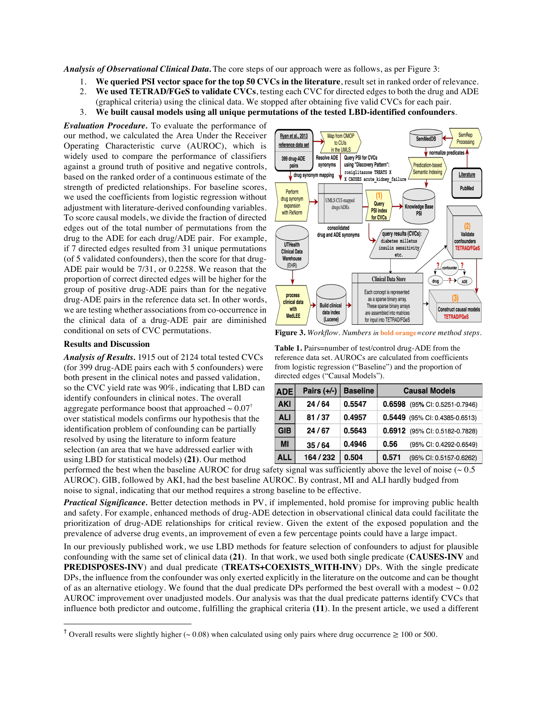*Analysis of Observational Clinical Data.* The core steps of our approach were as follows, as per Figure 3:

- 1. **We queried PSI vector space for the top 50 CVCs in the literature**, result set in ranked order of relevance.
- 2. **We used TETRAD/FGeS to validate CVCs**, testing each CVC for directed edges to both the drug and ADE (graphical criteria) using the clinical data. We stopped after obtaining five valid CVCs for each pair.
- 3. **We built causal models using all unique permutations of the tested LBD-identified confounders**.

*Evaluation Procedure.* To evaluate the performance of our method, we calculated the Area Under the Receiver Operating Characteristic curve (AUROC), which is widely used to compare the performance of classifiers against a ground truth of positive and negative controls, based on the ranked order of a continuous estimate of the strength of predicted relationships. For baseline scores, we used the coefficients from logistic regression without adjustment with literature-derived confounding variables. To score causal models, we divide the fraction of directed edges out of the total number of permutations from the drug to the ADE for each drug/ADE pair. For example, if 7 directed edges resulted from 31 unique permutations (of 5 validated confounders), then the score for that drug-ADE pair would be 7/31, or 0.2258. We reason that the proportion of correct directed edges will be higher for the group of positive drug-ADE pairs than for the negative drug-ADE pairs in the reference data set. In other words, we are testing whether associations from co-occurrence in the clinical data of a drug-ADE pair are diminished conditional on sets of CVC permutations.

# **Results and Discussion**

*Analysis of Results.* 1915 out of 2124 total tested CVCs (for 399 drug-ADE pairs each with 5 confounders) were both present in the clinical notes and passed validation, so the CVC yield rate was 90%, indicating that LBD can identify confounders in clinical notes. The overall aggregate performance boost that approached  $\sim 0.07^{\dagger}$ over statistical models confirms our hypothesis that the identification problem of confounding can be partially resolved by using the literature to inform feature selection (an area that we have addressed earlier with using LBD for statistical models) **(21)**. Our method



**Figure 3.** *Workflow. Numbers in* **bold orange***=core method steps.* 

**Table 1.** Pairs=number of test/control drug-ADE from the reference data set. AUROCs are calculated from coefficients from logistic regression ("Baseline") and the proportion of directed edges ("Causal Models").

| <b>ADE</b> | Pairs $(+/-)$ | <b>Baseline</b> | <b>Causal Models</b>              |
|------------|---------------|-----------------|-----------------------------------|
| <b>AKI</b> | 24/64         | 0.5547          | (95% CI: 0.5251-0.7946)<br>0.6598 |
| <b>ALI</b> | 81/37         | 0.4957          | 0.5449 (95% CI: 0.4385-0.6513)    |
| <b>GIB</b> | 24/67         | 0.5643          | 0.6912 (95% CI: 0.5182-0.7828)    |
| MI         | 35/64         | 0.4946          | 0.56<br>(95% CI: 0.4292-0.6549)   |
| <b>ALL</b> | 164 / 232     | 0.504           | 0.571<br>(95% CI: 0.5157-0.6262)  |

performed the best when the baseline AUROC for drug safety signal was sufficiently above the level of noise ( $\sim 0.5$ ) AUROC). GIB, followed by AKI, had the best baseline AUROC. By contrast, MI and ALI hardly budged from noise to signal, indicating that our method requires a strong baseline to be effective.

*Practical Significance.* Better detection methods in PV, if implemented, hold promise for improving public health and safety. For example, enhanced methods of drug-ADE detection in observational clinical data could facilitate the prioritization of drug-ADE relationships for critical review. Given the extent of the exposed population and the prevalence of adverse drug events, an improvement of even a few percentage points could have a large impact.

In our previously published work, we use LBD methods for feature selection of confounders to adjust for plausible confounding with the same set of clinical data **(21)**. In that work, we used both single predicate (**CAUSES-INV** and **PREDISPOSES-INV**) and dual predicate (**TREATS+COEXISTS\_WITH-INV**) DPs. With the single predicate DPs, the influence from the confounder was only exerted explicitly in the literature on the outcome and can be thought of as an alternative etiology. We found that the dual predicate DPs performed the best overall with a modest  $\sim 0.02$ AUROC improvement over unadjusted models. Our analysis was that the dual predicate patterns identify CVCs that influence both predictor and outcome, fulfilling the graphical criteria **(11**). In the present article, we used a different

<sup>&</sup>lt;sup>†</sup> Overall results were slightly higher (~0.08) when calculated using only pairs where drug occurrence  $\geq 100$  or 500.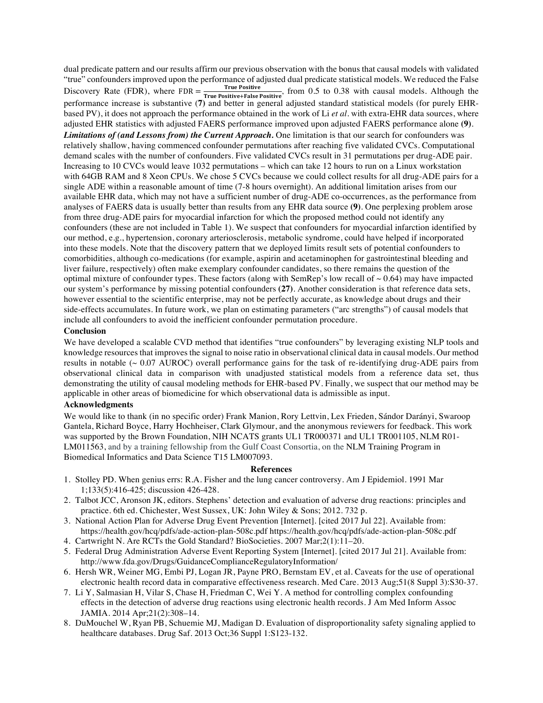dual predicate pattern and our results affirm our previous observation with the bonus that causal models with validated "true" confounders improved upon the performance of adjusted dual predicate statistical models. We reduced the False Discovery Rate (FDR), where  $FDR = \frac{True \space Positive}{True \space Positive+False \space Positive}$  from 0.5 to 0.38 with causal models. Although the performance increase is substantive (**7)** and better in general adjusted standard statistical models (for purely EHRbased PV), it does not approach the performance obtained in the work of Li *et al.* with extra-EHR data sources, where adjusted EHR statistics with adjusted FAERS performance improved upon adjusted FAERS performance alone **(9)**. *Limitations of (and Lessons from) the Current Approach.* One limitation is that our search for confounders was relatively shallow, having commenced confounder permutations after reaching five validated CVCs. Computational demand scales with the number of confounders. Five validated CVCs result in 31 permutations per drug-ADE pair. Increasing to 10 CVCs would leave 1032 permutations – which can take 12 hours to run on a Linux workstation with 64GB RAM and 8 Xeon CPUs. We chose 5 CVCs because we could collect results for all drug-ADE pairs for a single ADE within a reasonable amount of time (7-8 hours overnight). An additional limitation arises from our available EHR data, which may not have a sufficient number of drug-ADE co-occurrences, as the performance from analyses of FAERS data is usually better than results from any EHR data source **(9)**. One perplexing problem arose from three drug-ADE pairs for myocardial infarction for which the proposed method could not identify any confounders (these are not included in Table 1). We suspect that confounders for myocardial infarction identified by our method, e.g., hypertension, coronary arteriosclerosis, metabolic syndrome, could have helped if incorporated into these models. Note that the discovery pattern that we deployed limits result sets of potential confounders to comorbidities, although co-medications (for example, aspirin and acetaminophen for gastrointestinal bleeding and liver failure, respectively) often make exemplary confounder candidates, so there remains the question of the optimal mixture of confounder types. These factors (along with SemRep's low recall of  $\sim 0.64$ ) may have impacted our system's performance by missing potential confounders **(27)**. Another consideration is that reference data sets, however essential to the scientific enterprise, may not be perfectly accurate, as knowledge about drugs and their side-effects accumulates. In future work, we plan on estimating parameters ("arc strengths") of causal models that include all confounders to avoid the inefficient confounder permutation procedure.

### **Conclusion**

We have developed a scalable CVD method that identifies "true confounders" by leveraging existing NLP tools and knowledge resources that improves the signal to noise ratio in observational clinical data in causal models. Our method results in notable (~ 0.07 AUROC) overall performance gains for the task of re-identifying drug-ADE pairs from observational clinical data in comparison with unadjusted statistical models from a reference data set, thus demonstrating the utility of causal modeling methods for EHR-based PV. Finally, we suspect that our method may be applicable in other areas of biomedicine for which observational data is admissible as input.

# **Acknowledgments**

We would like to thank (in no specific order) Frank Manion, Rory Lettvin, Lex Frieden, Sándor Darányi, Swaroop Gantela, Richard Boyce, Harry Hochheiser, Clark Glymour, and the anonymous reviewers for feedback. This work was supported by the Brown Foundation, NIH NCATS grants UL1 TR000371 and UL1 TR001105, NLM R01- LM011563, and by a training fellowship from the Gulf Coast Consortia, on the NLM Training Program in Biomedical Informatics and Data Science T15 LM007093.

#### **References**

- 1. Stolley PD. When genius errs: R.A. Fisher and the lung cancer controversy. Am J Epidemiol. 1991 Mar 1;133(5):416-425; discussion 426-428.
- 2. Talbot JCC, Aronson JK, editors. Stephens' detection and evaluation of adverse drug reactions: principles and practice. 6th ed. Chichester, West Sussex, UK: John Wiley & Sons; 2012. 732 p.
- 3. National Action Plan for Adverse Drug Event Prevention [Internet]. [cited 2017 Jul 22]. Available from: https://health.gov/hcq/pdfs/ade-action-plan-508c.pdf https://health.gov/hcq/pdfs/ade-action-plan-508c.pdf
- 4. Cartwright N. Are RCTs the Gold Standard? BioSocieties. 2007 Mar;2(1):11–20.
- 5. Federal Drug Administration Adverse Event Reporting System [Internet]. [cited 2017 Jul 21]. Available from: http://www.fda.gov/Drugs/GuidanceComplianceRegulatoryInformation/
- 6. Hersh WR, Weiner MG, Embi PJ, Logan JR, Payne PRO, Bernstam EV, et al. Caveats for the use of operational electronic health record data in comparative effectiveness research. Med Care. 2013 Aug;51(8 Suppl 3):S30-37.
- 7. Li Y, Salmasian H, Vilar S, Chase H, Friedman C, Wei Y. A method for controlling complex confounding effects in the detection of adverse drug reactions using electronic health records. J Am Med Inform Assoc JAMIA. 2014 Apr;21(2):308–14.
- 8. DuMouchel W, Ryan PB, Schuemie MJ, Madigan D. Evaluation of disproportionality safety signaling applied to healthcare databases. Drug Saf. 2013 Oct;36 Suppl 1:S123-132.